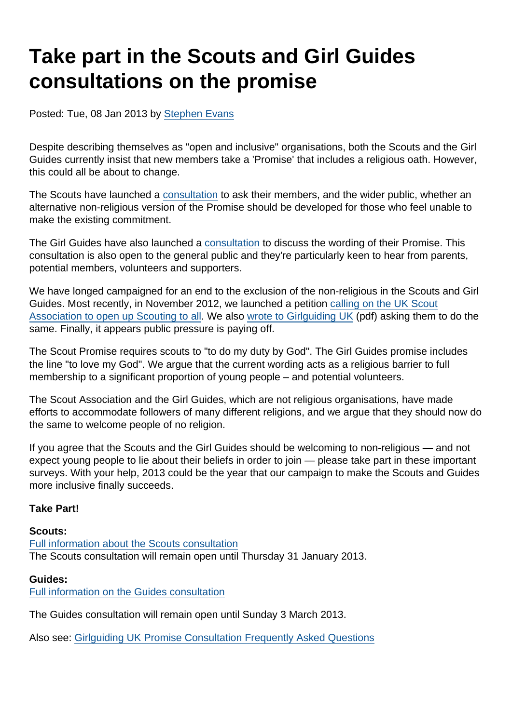## Take part in the Scouts and Girl Guides consultations on the promise

Posted: Tue, 08 Jan 2013 by [Stephen Evans](https://www.secularism.org.uk/opinion/authors/845)

Despite describing themselves as "open and inclusive" organisations, both the Scouts and the Girl Guides currently insist that new members take a 'Promise' that includes a religious oath. However, this could all be about to change.

The Scouts have launched a [consultation](http://scouts.org.uk/news/2012/12/scouting-launches-consultation-on-considering-welcoming-athiests-as-full-members/) to ask their members, and the wider public, whether an alternative non-religious version of the Promise should be developed for those who feel unable to make the existing commitment.

The Girl Guides have also launched a [consultation](http://www.girlguiding.org.uk/news/promise_consultation_now_open.aspx) to discuss the wording of their Promise. This consultation is also open to the general public and they're particularly keen to hear from parents, potential members, volunteers and supporters.

We have longed campaigned for an end to the exclusion of the non-religious in the Scouts and Girl Guides. Most recently, in November 2012, we launched a petition [calling on the UK Scout](https://www.secularism.org.uk/news/2012/11/nss-calls-on-scouts-to-welcome-non-believers--sign-the-petition) [Association to open up Scouting to all](https://www.secularism.org.uk/news/2012/11/nss-calls-on-scouts-to-welcome-non-believers--sign-the-petition). We also [wrote to Girlguiding UK](https://www.secularism.org.uk/uploads/nss-letter-to-girl-guiding-uk-15-november-2012.pdf) (pdf) asking them to do the same. Finally, it appears public pressure is paying off.

The Scout Promise requires scouts to "to do my duty by God". The Girl Guides promise includes the line "to love my God". We argue that the current wording acts as a religious barrier to full membership to a significant proportion of young people – and potential volunteers.

The Scout Association and the Girl Guides, which are not religious organisations, have made efforts to accommodate followers of many different religions, and we argue that they should now do the same to welcome people of no religion.

If you agree that the Scouts and the Girl Guides should be welcoming to non-religious — and not expect young people to lie about their beliefs in order to join — please take part in these important surveys. With your help, 2013 could be the year that our campaign to make the Scouts and Guides more inclusive finally succeeds.

Take Part!

Scouts: [Full information about the Scouts consultation](http://scouts.org.uk/news/2012/12/scouting-launches-consultation-on-considering-welcoming-athiests-as-full-members/) The Scouts consultation will remain open until Thursday 31 January 2013.

Guides:

[Full information on the Guides consultation](http://www.girlguiding.org.uk/news/promise_consultation_now_open.aspx)

The Guides consultation will remain open until Sunday 3 March 2013.

Also see: [Girlguiding UK Promise Consultation Frequently Asked Questions](http://www.girlguiding.org.uk/pdf/PromiseconsultationFAQs.pdf)